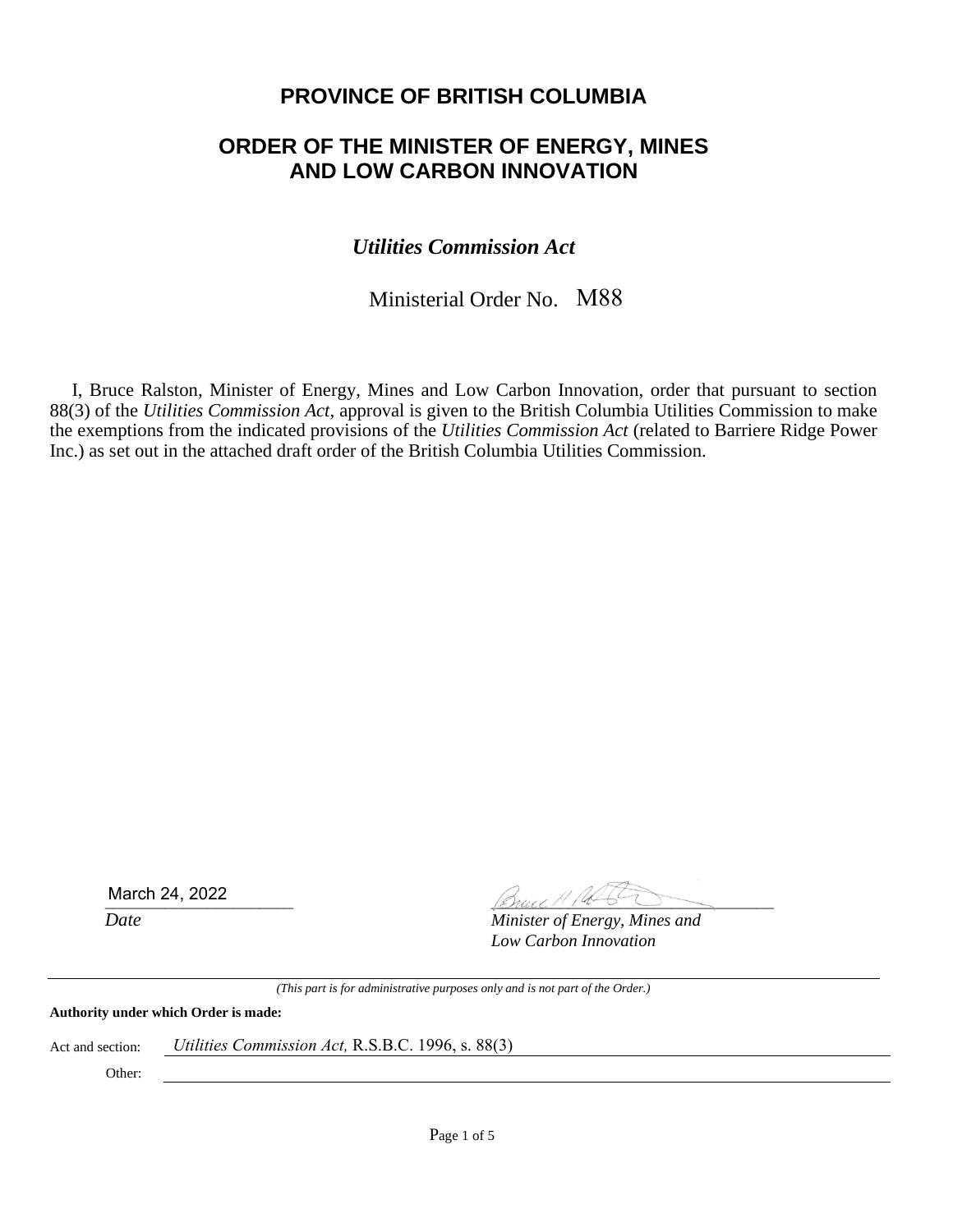# **PROVINCE OF BRITISH COLUMBIA**

## **ORDER OF THE MINISTER OF ENERGY, MINES AND LOW CARBON INNOVATION**

### *Utilities Commission Act*

Ministerial Order No. M88

I, Bruce Ralston, Minister of Energy, Mines and Low Carbon Innovation, order that pursuant to section 88(3) of the *Utilities Commission Act*, approval is given to the British Columbia Utilities Commission to make the exemptions from the indicated provisions of the *Utilities Commission Act* (related to Barriere Ridge Power Inc.) as set out in the attached draft order of the British Columbia Utilities Commission.

March 24, 2022

\_\_\_\_\_\_\_\_\_\_\_\_\_\_\_\_\_\_\_\_\_\_ \_\_\_\_\_\_\_\_\_\_\_\_\_\_\_\_\_\_\_\_\_\_\_\_\_\_\_\_\_\_\_\_\_

*Date Minister of Energy, Mines and Low Carbon Innovation*

*(This part is for administrative purposes only and is not part of the Order.)*

**Authority under which Order is made:**

Act and section: *Utilities Commission Act,* R.S.B.C. 1996, s. 88(3)

Other: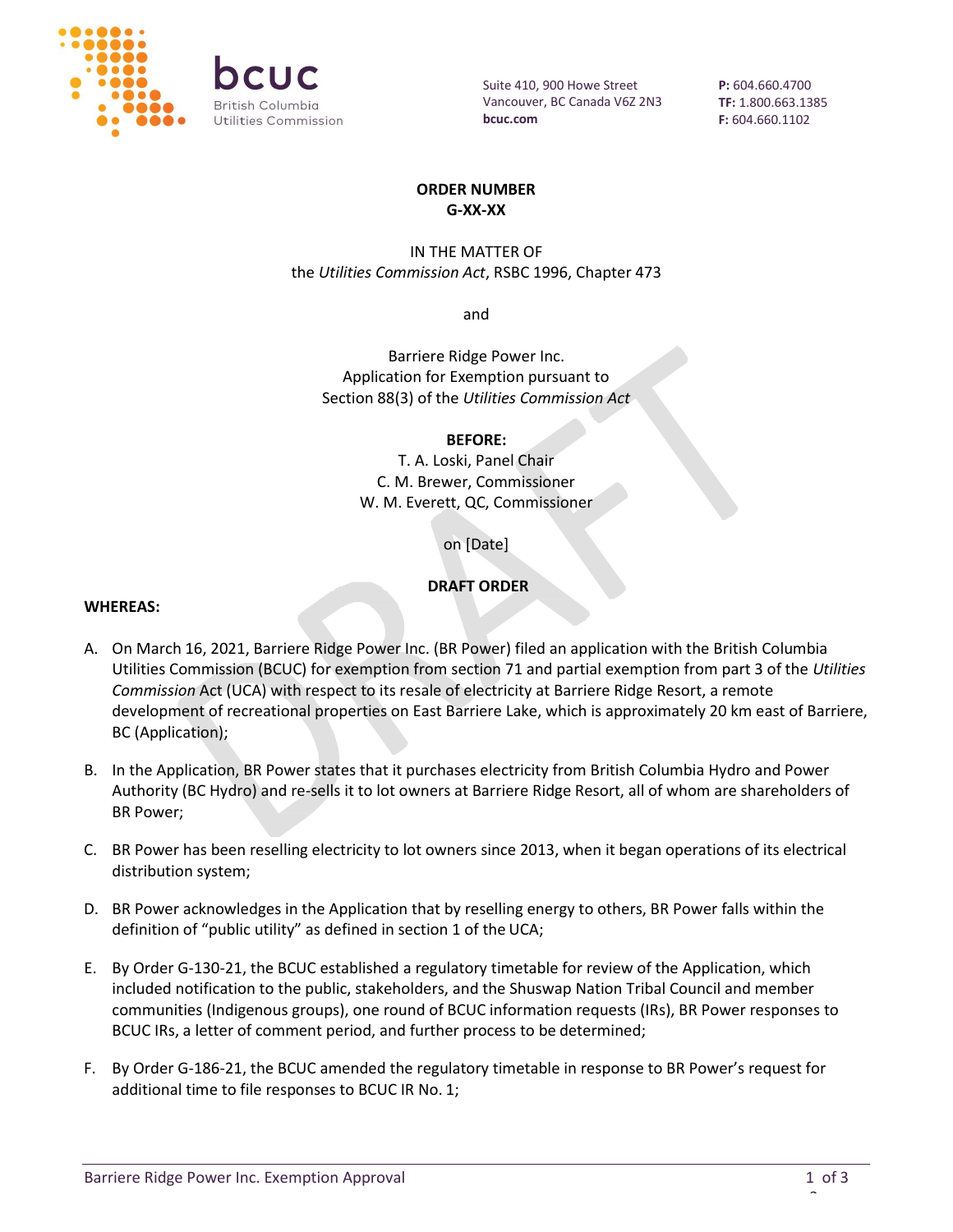

Suite 410, 900 Howe Street Vancouver, BC Canada V6Z 2N3 **bcuc.com**

**P:** 604.660.4700 **TF:** 1.800.663.1385 **F:** 604.660.1102

#### **ORDER NUMBER G-XX-XX**

IN THE MATTER OF the *Utilities Commission Act*, RSBC 1996, Chapter 473

and

Barriere Ridge Power Inc. Application for Exemption pursuant to Section 88(3) of the *Utilities Commission Act*

#### **BEFORE:**

T. A. Loski, Panel Chair C. M. Brewer, Commissioner W. M. Everett, QC, Commissioner

on [Date]

#### **DRAFT ORDER**

#### **WHEREAS:**

- A. On March 16, 2021, Barriere Ridge Power Inc. (BR Power) filed an application with the British Columbia Utilities Commission (BCUC) for exemption from section 71 and partial exemption from part 3 of the *Utilities Commission* Act (UCA) with respect to its resale of electricity at Barriere Ridge Resort, a remote development of recreational properties on East Barriere Lake, which is approximately 20 km east of Barriere, BC (Application);
- B. In the Application, BR Power states that it purchases electricity from British Columbia Hydro and Power Authority (BC Hydro) and re-sells it to lot owners at Barriere Ridge Resort, all of whom are shareholders of BR Power;
- C. BR Power has been reselling electricity to lot owners since 2013, when it began operations of its electrical distribution system;
- D. BR Power acknowledges in the Application that by reselling energy to others, BR Power falls within the definition of "public utility" as defined in section 1 of the UCA;
- E. By Order G-130-21, the BCUC established a regulatory timetable for review of the Application, which included notification to the public, stakeholders, and the Shuswap Nation Tribal Council and member communities (Indigenous groups), one round of BCUC information requests (IRs), BR Power responses to BCUC IRs, a letter of comment period, and further process to be determined;
- F. By Order G-186-21, the BCUC amended the regulatory timetable in response to BR Power's request for additional time to file responses to BCUC IR No. 1;

 $\hat{a}$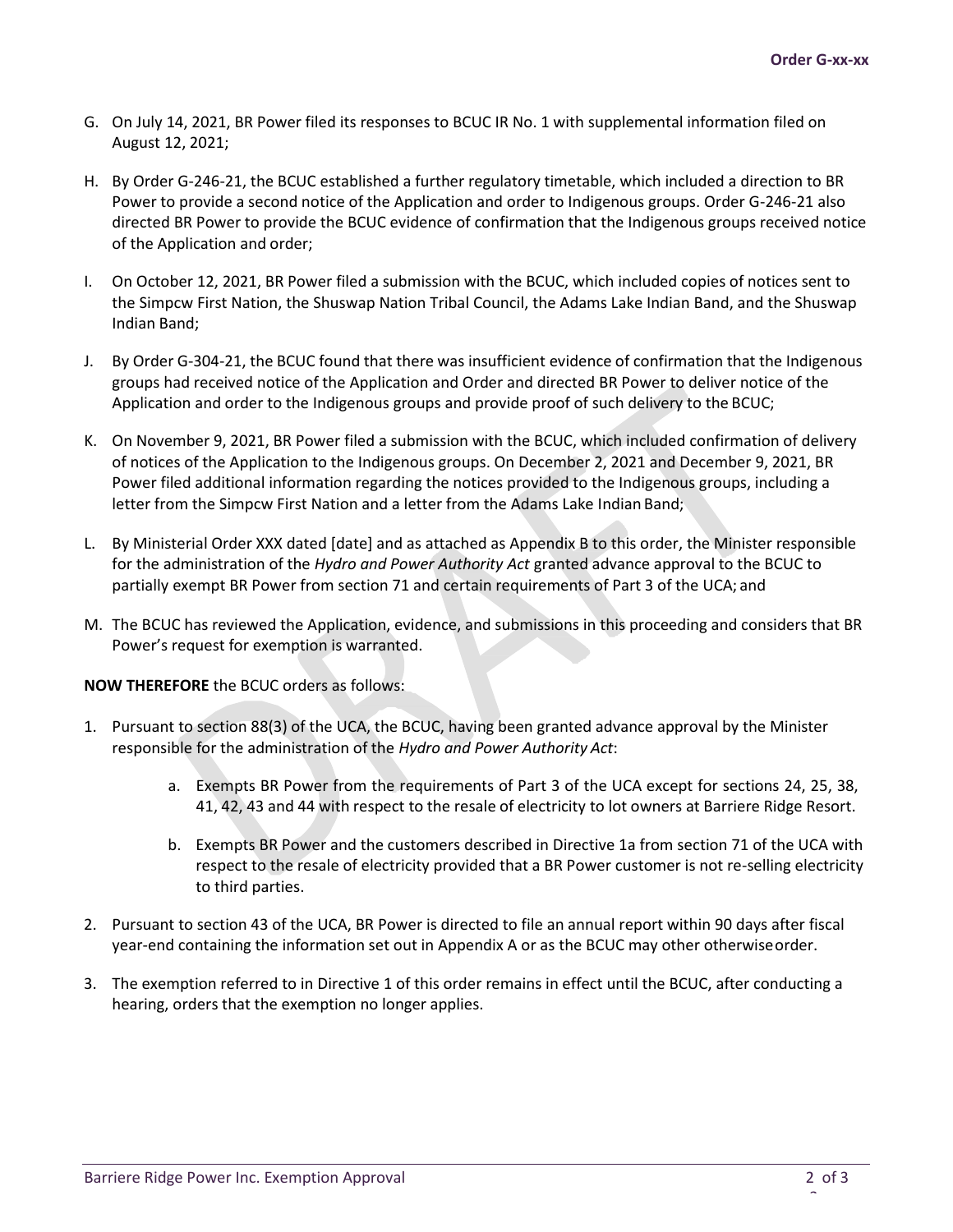- G. On July 14, 2021, BR Power filed its responses to BCUC IR No. 1 with supplemental information filed on August 12, 2021;
- H. By Order G-246-21, the BCUC established a further regulatory timetable, which included a direction to BR Power to provide a second notice of the Application and order to Indigenous groups. Order G-246-21 also directed BR Power to provide the BCUC evidence of confirmation that the Indigenous groups received notice of the Application and order;
- I. On October 12, 2021, BR Power filed a submission with the BCUC, which included copies of notices sent to the Simpcw First Nation, the Shuswap Nation Tribal Council, the Adams Lake Indian Band, and the Shuswap Indian Band;
- J. By Order G-304-21, the BCUC found that there was insufficient evidence of confirmation that the Indigenous groups had received notice of the Application and Order and directed BR Power to deliver notice of the Application and order to the Indigenous groups and provide proof of such delivery to the BCUC;
- K. On November 9, 2021, BR Power filed a submission with the BCUC, which included confirmation of delivery of notices of the Application to the Indigenous groups. On December 2, 2021 and December 9, 2021, BR Power filed additional information regarding the notices provided to the Indigenous groups, including a letter from the Simpcw First Nation and a letter from the Adams Lake Indian Band;
- L. By Ministerial Order XXX dated [date] and as attached as Appendix B to this order, the Minister responsible for the administration of the *Hydro and Power Authority Act* granted advance approval to the BCUC to partially exempt BR Power from section 71 and certain requirements of Part 3 of the UCA; and
- M. The BCUC has reviewed the Application, evidence, and submissions in this proceeding and considers that BR Power's request for exemption is warranted.

**NOW THEREFORE** the BCUC orders as follows:

- 1. Pursuant to section 88(3) of the UCA, the BCUC, having been granted advance approval by the Minister responsible for the administration of the *Hydro and Power Authority Act*:
	- a. Exempts BR Power from the requirements of Part 3 of the UCA except for sections 24, 25, 38, 41, 42, 43 and 44 with respect to the resale of electricity to lot owners at Barriere Ridge Resort.
	- b. Exempts BR Power and the customers described in Directive 1a from section 71 of the UCA with respect to the resale of electricity provided that a BR Power customer is not re-selling electricity to third parties.
- 2. Pursuant to section 43 of the UCA, BR Power is directed to file an annual report within 90 days after fiscal year-end containing the information set out in Appendix A or as the BCUC may other otherwiseorder.
- 3. The exemption referred to in Directive 1 of this order remains in effect until the BCUC, after conducting a hearing, orders that the exemption no longer applies.

 $\hat{a}$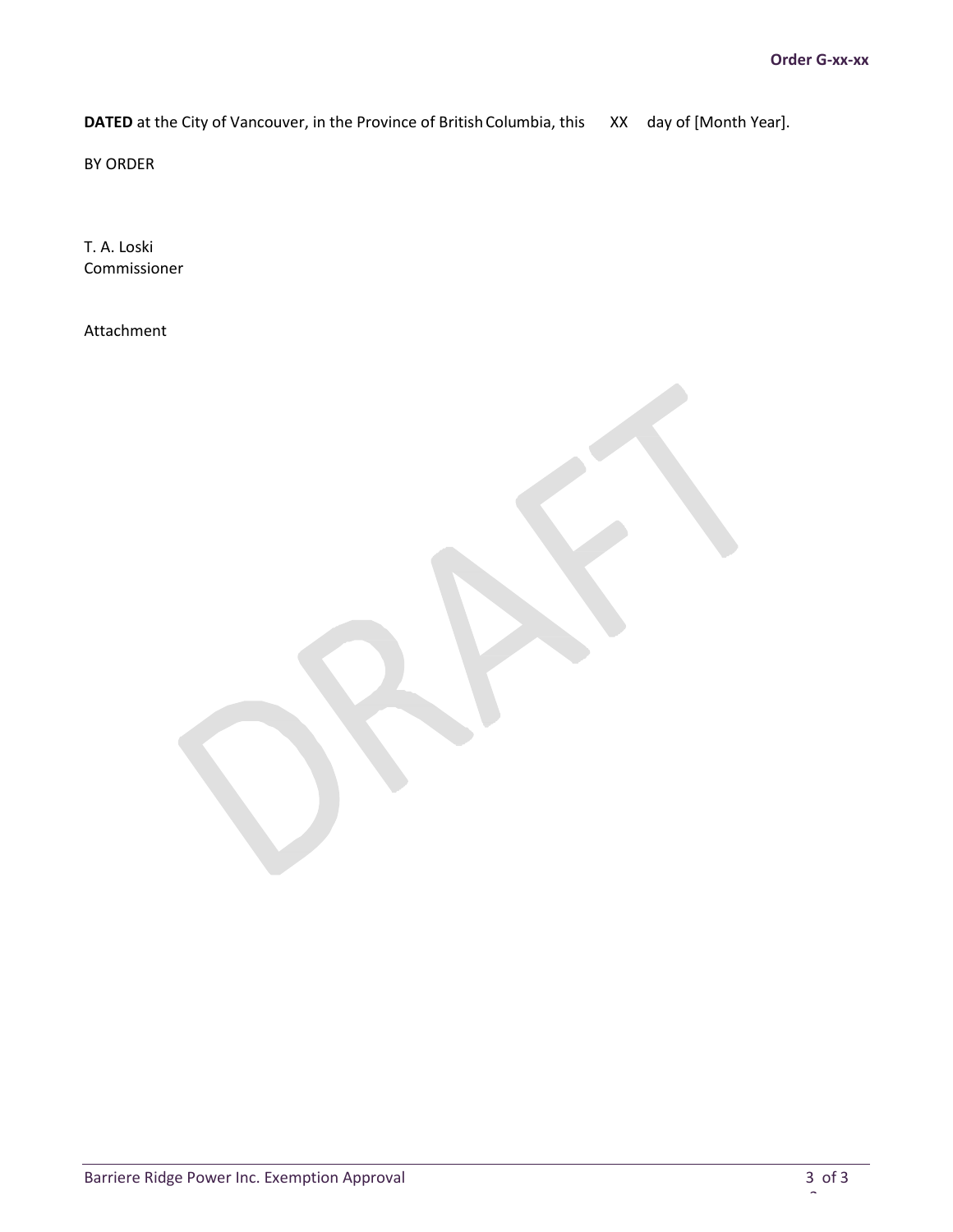**DATED** at the City of Vancouver, in the Province of British Columbia, this XX day of [Month Year].

BY ORDER

T. A. Loski Commissioner

Attachment